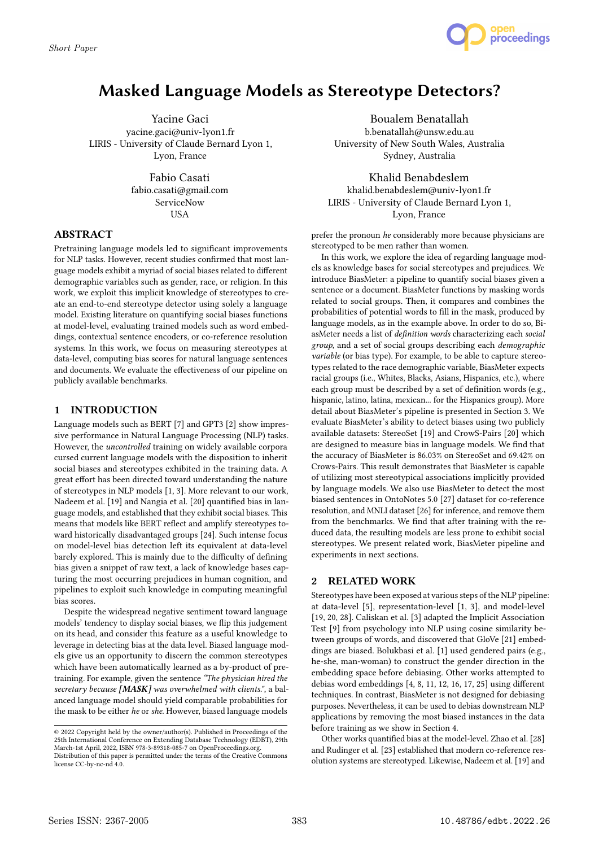

# Masked Language Models as Stereotype Detectors?

Yacine Gaci yacine.gaci@univ-lyon1.fr LIRIS - University of Claude Bernard Lyon 1, Lyon, France

> Fabio Casati fabio.casati@gmail.com ServiceNow USA

## ABSTRACT

Pretraining language models led to significant improvements for NLP tasks. However, recent studies confirmed that most language models exhibit a myriad of social biases related to different demographic variables such as gender, race, or religion. In this work, we exploit this implicit knowledge of stereotypes to create an end-to-end stereotype detector using solely a language model. Existing literature on quantifying social biases functions at model-level, evaluating trained models such as word embeddings, contextual sentence encoders, or co-reference resolution systems. In this work, we focus on measuring stereotypes at data-level, computing bias scores for natural language sentences and documents. We evaluate the effectiveness of our pipeline on publicly available benchmarks.

## 1 INTRODUCTION

Language models such as BERT [7] and GPT3 [2] show impressive performance in Natural Language Processing (NLP) tasks. However, the uncontrolled training on widely available corpora cursed current language models with the disposition to inherit social biases and stereotypes exhibited in the training data. A great effort has been directed toward understanding the nature of stereotypes in NLP models [1, 3]. More relevant to our work, Nadeem et al. [19] and Nangia et al. [20] quantified bias in language models, and established that they exhibit social biases. This means that models like BERT reflect and amplify stereotypes toward historically disadvantaged groups [24]. Such intense focus on model-level bias detection left its equivalent at data-level barely explored. This is mainly due to the difficulty of defining bias given a snippet of raw text, a lack of knowledge bases capturing the most occurring prejudices in human cognition, and pipelines to exploit such knowledge in computing meaningful bias scores.

Despite the widespread negative sentiment toward language models' tendency to display social biases, we flip this judgement on its head, and consider this feature as a useful knowledge to leverage in detecting bias at the data level. Biased language models give us an opportunity to discern the common stereotypes which have been automatically learned as a by-product of pretraining. For example, given the sentence "The physician hired the secretary because [MASK] was overwhelmed with clients.", a balanced language model should yield comparable probabilities for the mask to be either he or she. However, biased language models

Boualem Benatallah b.benatallah@unsw.edu.au University of New South Wales, Australia Sydney, Australia

Khalid Benabdeslem khalid.benabdeslem@univ-lyon1.fr LIRIS - University of Claude Bernard Lyon 1, Lyon, France

prefer the pronoun he considerably more because physicians are stereotyped to be men rather than women.

In this work, we explore the idea of regarding language models as knowledge bases for social stereotypes and prejudices. We introduce BiasMeter: a pipeline to quantify social biases given a sentence or a document. BiasMeter functions by masking words related to social groups. Then, it compares and combines the probabilities of potential words to fill in the mask, produced by language models, as in the example above. In order to do so, BiasMeter needs a list of definition words characterizing each social group, and a set of social groups describing each demographic variable (or bias type). For example, to be able to capture stereotypes related to the race demographic variable, BiasMeter expects racial groups (i.e., Whites, Blacks, Asians, Hispanics, etc.), where each group must be described by a set of definition words (e.g., hispanic, latino, latina, mexican... for the Hispanics group). More detail about BiasMeter's pipeline is presented in Section 3. We evaluate BiasMeter's ability to detect biases using two publicly available datasets: StereoSet [19] and CrowS-Pairs [20] which are designed to measure bias in language models. We find that the accuracy of BiasMeter is 86.03% on StereoSet and 69.42% on Crows-Pairs. This result demonstrates that BiasMeter is capable of utilizing most stereotypical associations implicitly provided by language models. We also use BiasMeter to detect the most biased sentences in OntoNotes 5.0 [27] dataset for co-reference resolution, and MNLI dataset [26] for inference, and remove them from the benchmarks. We find that after training with the reduced data, the resulting models are less prone to exhibit social stereotypes. We present related work, BiasMeter pipeline and experiments in next sections.

## 2 RELATED WORK

Stereotypes have been exposed at various steps of the NLP pipeline: at data-level [5], representation-level [1, 3], and model-level [19, 20, 28]. Caliskan et al. [3] adapted the Implicit Association Test [9] from psychology into NLP using cosine similarity between groups of words, and discovered that GloVe [21] embeddings are biased. Bolukbasi et al. [1] used gendered pairs (e.g., he-she, man-woman) to construct the gender direction in the embedding space before debiasing. Other works attempted to debias word embeddings [4, 8, 11, 12, 16, 17, 25] using different techniques. In contrast, BiasMeter is not designed for debiasing purposes. Nevertheless, it can be used to debias downstream NLP applications by removing the most biased instances in the data before training as we show in Section 4.

Other works quantified bias at the model-level. Zhao et al. [28] and Rudinger et al. [23] established that modern co-reference resolution systems are stereotyped. Likewise, Nadeem et al. [19] and

<sup>©</sup> 2022 Copyright held by the owner/author(s). Published in Proceedings of the 25th International Conference on Extending Database Technology (EDBT), 29th March-1st April, 2022, ISBN 978-3-89318-085-7 on OpenProceedings.org. Distribution of this paper is permitted under the terms of the Creative Commons license CC-by-nc-nd 4.0.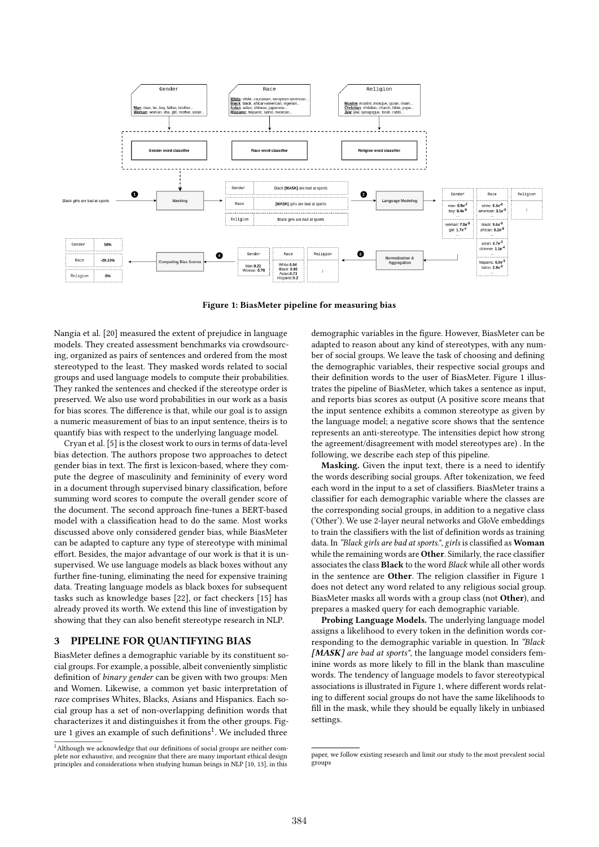

Figure 1: BiasMeter pipeline for measuring bias

Nangia et al. [20] measured the extent of prejudice in language models. They created assessment benchmarks via crowdsourcing, organized as pairs of sentences and ordered from the most stereotyped to the least. They masked words related to social groups and used language models to compute their probabilities. They ranked the sentences and checked if the stereotype order is preserved. We also use word probabilities in our work as a basis for bias scores. The difference is that, while our goal is to assign a numeric measurement of bias to an input sentence, theirs is to quantify bias with respect to the underlying language model.

Cryan et al. [5] is the closest work to ours in terms of data-level bias detection. The authors propose two approaches to detect gender bias in text. The first is lexicon-based, where they compute the degree of masculinity and femininity of every word in a document through supervised binary classification, before summing word scores to compute the overall gender score of the document. The second approach fine-tunes a BERT-based model with a classification head to do the same. Most works discussed above only considered gender bias, while BiasMeter can be adapted to capture any type of stereotype with minimal effort. Besides, the major advantage of our work is that it is unsupervised. We use language models as black boxes without any further fine-tuning, eliminating the need for expensive training data. Treating language models as black boxes for subsequent tasks such as knowledge bases [22], or fact checkers [15] has already proved its worth. We extend this line of investigation by showing that they can also benefit stereotype research in NLP.

#### 3 PIPELINE FOR QUANTIFYING BIAS

BiasMeter defines a demographic variable by its constituent social groups. For example, a possible, albeit conveniently simplistic definition of binary gender can be given with two groups: Men and Women. Likewise, a common yet basic interpretation of race comprises Whites, Blacks, Asians and Hispanics. Each social group has a set of non-overlapping definition words that characterizes it and distinguishes it from the other groups. Figure 1 gives an example of such definitions<sup>1</sup>. We included three

demographic variables in the figure. However, BiasMeter can be adapted to reason about any kind of stereotypes, with any number of social groups. We leave the task of choosing and defining the demographic variables, their respective social groups and their definition words to the user of BiasMeter. Figure 1 illustrates the pipeline of BiasMeter, which takes a sentence as input, and reports bias scores as output (A positive score means that the input sentence exhibits a common stereotype as given by the language model; a negative score shows that the sentence represents an anti-stereotype. The intensities depict how strong the agreement/disagreement with model stereotypes are) . In the following, we describe each step of this pipeline.

Masking. Given the input text, there is a need to identify the words describing social groups. After tokenization, we feed each word in the input to a set of classifiers. BiasMeter trains a classifier for each demographic variable where the classes are the corresponding social groups, in addition to a negative class ('Other'). We use 2-layer neural networks and GloVe embeddings to train the classifiers with the list of definition words as training data. In "Black girls are bad at sports.", girls is classified as Woman while the remaining words are **Other**. Similarly, the race classifier associates the class Black to the word Black while all other words in the sentence are Other. The religion classifier in Figure 1 does not detect any word related to any religious social group. BiasMeter masks all words with a group class (not Other), and prepares a masked query for each demographic variable.

Probing Language Models. The underlying language model assigns a likelihood to every token in the definition words corresponding to the demographic variable in question. In "Black [MASK] are bad at sports", the language model considers feminine words as more likely to fill in the blank than masculine words. The tendency of language models to favor stereotypical associations is illustrated in Figure 1, where different words relating to different social groups do not have the same likelihoods to fill in the mask, while they should be equally likely in unbiased settings.

<sup>&</sup>lt;sup>1</sup>Although we acknowledge that our definitions of social groups are neither complete nor exhaustive, and recognize that there are many important ethical design principles and considerations when studying human beings in NLP [10, 13], in this

paper, we follow existing research and limit our study to the most prevalent social groups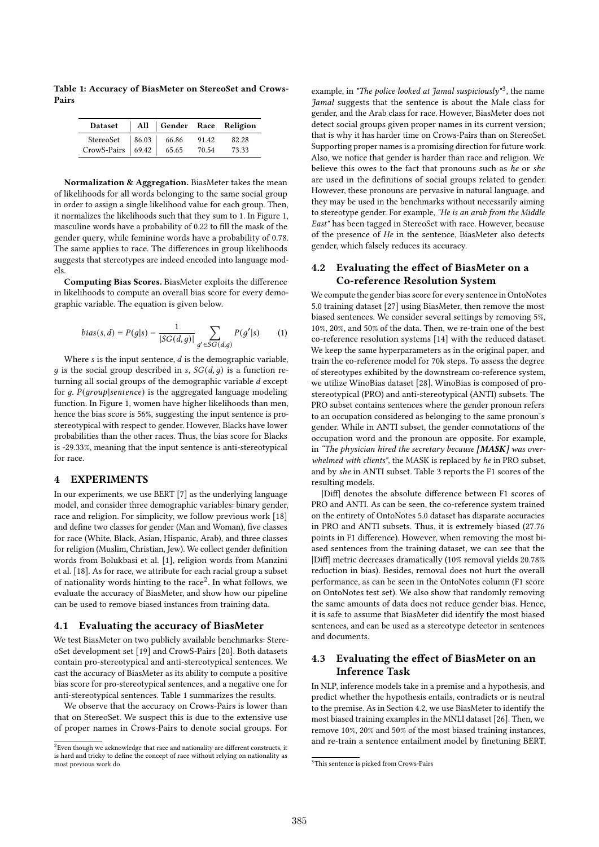Table 1: Accuracy of BiasMeter on StereoSet and Crows-Pairs

| Dataset   All   Gender Race Religion                              |  |       |       |
|-------------------------------------------------------------------|--|-------|-------|
| StereoSet   86.03   66.86                                         |  | 91.42 | 82.28 |
| CrowS-Pairs $\begin{array}{ c c c c c } \hline \end{array}$ 65.65 |  | 70.54 | 73.33 |

Normalization & Aggregation. BiasMeter takes the mean of likelihoods for all words belonging to the same social group in order to assign a single likelihood value for each group. Then, it normalizes the likelihoods such that they sum to 1. In Figure 1, masculine words have a probability of 0.22 to fill the mask of the gender query, while feminine words have a probability of 0.78. The same applies to race. The differences in group likelihoods suggests that stereotypes are indeed encoded into language models.

Computing Bias Scores. BiasMeter exploits the difference in likelihoods to compute an overall bias score for every demographic variable. The equation is given below.

bias(s, d) = 
$$
P(g|s) - \frac{1}{|SG(d, g)|} \sum_{g' \in SG(d, g)} P(g'|s)
$$
 (1)

Where  $s$  is the input sentence,  $d$  is the demographic variable, q is the social group described in s,  $SG(d, q)$  is a function returning all social groups of the demographic variable  $d$  except for  $q$ .  $P(qroup|sentence)$  is the aggregated language modeling function. In Figure 1, women have higher likelihoods than men, hence the bias score is 56%, suggesting the input sentence is prostereotypical with respect to gender. However, Blacks have lower probabilities than the other races. Thus, the bias score for Blacks is -29.33%, meaning that the input sentence is anti-stereotypical for race.

## 4 EXPERIMENTS

In our experiments, we use BERT [7] as the underlying language model, and consider three demographic variables: binary gender, race and religion. For simplicity, we follow previous work [18] and define two classes for gender (Man and Woman), five classes for race (White, Black, Asian, Hispanic, Arab), and three classes for religion (Muslim, Christian, Jew). We collect gender definition words from Bolukbasi et al. [1], religion words from Manzini et al. [18]. As for race, we attribute for each racial group a subset of nationality words hinting to the race<sup>2</sup>. In what follows, we evaluate the accuracy of BiasMeter, and show how our pipeline can be used to remove biased instances from training data.

#### 4.1 Evaluating the accuracy of BiasMeter

We test BiasMeter on two publicly available benchmarks: StereoSet development set [19] and CrowS-Pairs [20]. Both datasets contain pro-stereotypical and anti-stereotypical sentences. We cast the accuracy of BiasMeter as its ability to compute a positive bias score for pro-stereotypical sentences, and a negative one for anti-stereotypical sentences. Table 1 summarizes the results.

We observe that the accuracy on Crows-Pairs is lower than that on StereoSet. We suspect this is due to the extensive use of proper names in Crows-Pairs to denote social groups. For

example, in "The police looked at Jamal suspiciously"<sup>3</sup>, the name Jamal suggests that the sentence is about the Male class for gender, and the Arab class for race. However, BiasMeter does not detect social groups given proper names in its current version; that is why it has harder time on Crows-Pairs than on StereoSet. Supporting proper names is a promising direction for future work. Also, we notice that gender is harder than race and religion. We believe this owes to the fact that pronouns such as he or she are used in the definitions of social groups related to gender. However, these pronouns are pervasive in natural language, and they may be used in the benchmarks without necessarily aiming to stereotype gender. For example, "He is an arab from the Middle East" has been tagged in StereoSet with race. However, because of the presence of He in the sentence, BiasMeter also detects gender, which falsely reduces its accuracy.

# 4.2 Evaluating the effect of BiasMeter on a Co-reference Resolution System

We compute the gender bias score for every sentence in OntoNotes 5.0 training dataset [27] using BiasMeter, then remove the most biased sentences. We consider several settings by removing 5%, 10%, 20%, and 50% of the data. Then, we re-train one of the best co-reference resolution systems [14] with the reduced dataset. We keep the same hyperparameters as in the original paper, and train the co-reference model for 70k steps. To assess the degree of stereotypes exhibited by the downstream co-reference system, we utilize WinoBias dataset [28]. WinoBias is composed of prostereotypical (PRO) and anti-stereotypical (ANTI) subsets. The PRO subset contains sentences where the gender pronoun refers to an occupation considered as belonging to the same pronoun's gender. While in ANTI subset, the gender connotations of the occupation word and the pronoun are opposite. For example, in "The physician hired the secretary because  $[MASK]$  was overwhelmed with clients", the MASK is replaced by he in PRO subset. and by she in ANTI subset. Table 3 reports the F1 scores of the resulting models.

|Diff| denotes the absolute difference between F1 scores of PRO and ANTI. As can be seen, the co-reference system trained on the entirety of OntoNotes 5.0 dataset has disparate accuracies in PRO and ANTI subsets. Thus, it is extremely biased (27.76 points in F1 difference). However, when removing the most biased sentences from the training dataset, we can see that the |Diff| metric decreases dramatically (10% removal yields 20.78% reduction in bias). Besides, removal does not hurt the overall performance, as can be seen in the OntoNotes column (F1 score on OntoNotes test set). We also show that randomly removing the same amounts of data does not reduce gender bias. Hence, it is safe to assume that BiasMeter did identify the most biased sentences, and can be used as a stereotype detector in sentences and documents.

# 4.3 Evaluating the effect of BiasMeter on an Inference Task

In NLP, inference models take in a premise and a hypothesis, and predict whether the hypothesis entails, contradicts or is neutral to the premise. As in Section 4.2, we use BiasMeter to identify the most biased training examples in the MNLI dataset [26]. Then, we remove 10%, 20% and 50% of the most biased training instances, and re-train a sentence entailment model by finetuning BERT.

 $^2\rm{Even}$  though we acknowledge that race and nationality are different constructs, it is hard and tricky to define the concept of race without relying on nationality as most previous work do

<sup>&</sup>lt;sup>3</sup>This sentence is picked from Crows-Pairs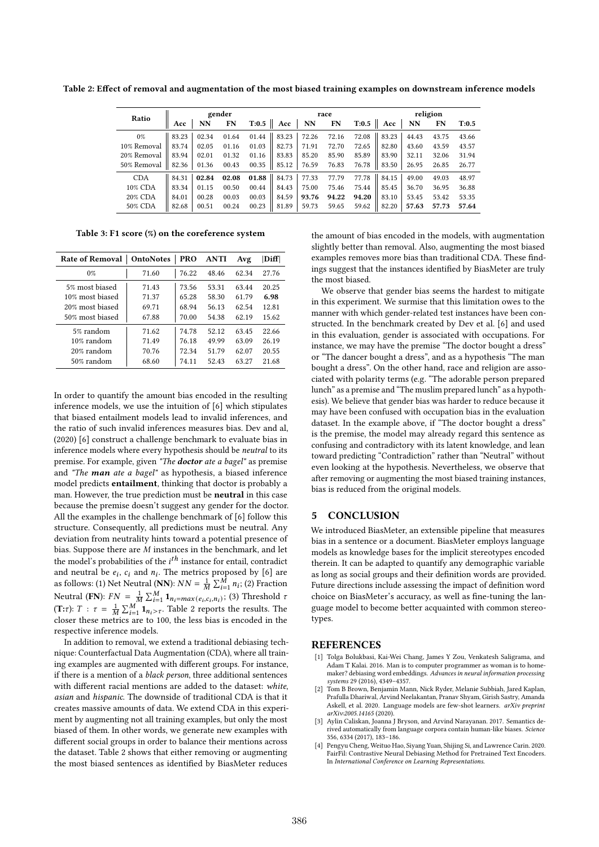| Ratio         | gender |       |           | race  |                     |       | religion |       |               |       |       |       |
|---------------|--------|-------|-----------|-------|---------------------|-------|----------|-------|---------------|-------|-------|-------|
|               | Acc    | NN    | <b>FN</b> |       | $T:0.5$ Acc         | NN    | FN       |       | $T:0.5$   Acc | NN    | FN    | T:0.5 |
| $0\%$         | 83.23  | 02.34 | 01.64     |       | $01.44$   83.23     | 72.26 | 72.16    | 72.08 | 83.23         | 44.43 | 43.75 | 43.66 |
| 10% Removal   | 83.74  | 02.05 | 01.16     | 01.03 | 82.73               | 71.91 | 72.70    | 72.65 | 82.80         | 43.60 | 43.59 | 43.57 |
| 20% Removal 1 | 83.94  | 02.01 | 01.32     | 01.16 | 83.83               | 85.20 | 85.90    | 85.89 | 83.90         | 32.11 | 32.06 | 31.94 |
| 50% Removal   | 82.36  | 01.36 | 00.43     | 00.35 | 85.12               | 76.59 | 76.83    | 76.78 | 83.50         | 26.95 | 26.85 | 26.77 |
| <b>CDA</b>    | 84.31  | 02.84 | 02.08     |       | 01.88 $ $ 84.73 $ $ | 77.33 | 77.79    | 77.78 | 84.15         | 49.00 | 49.03 | 48.97 |
| 10% CDA       | 83.34  | 01.15 | 00.50     | 00.44 | 84.43               | 75.00 | 75.46    | 75.44 | 85.45         | 36.70 | 36.95 | 36.88 |
| 20% CDA       | 84.01  | 00.28 | 00.03     | 00.03 | 84.59               | 93.76 | 94.22    | 94.20 | 83.10         | 53.45 | 53.42 | 53.35 |
| 50% CDA       | 82.68  | 00.51 | 00.24     | 00.23 | 81.89               | 59.73 | 59.65    | 59.62 | 82.20         | 57.63 | 57.73 | 57.64 |

Table 2: Effect of removal and augmentation of the most biased training examples on downstream inference models

Table 3: F1 score (%) on the coreference system

| Rate of Removal | <b>OntoNotes</b> | <b>PRO</b> | <b>ANTI</b> | Avg   | $\bf  Diff $ |
|-----------------|------------------|------------|-------------|-------|--------------|
| $0\%$           | 71.60            | 76.22      | 48.46       | 62.34 | 27.76        |
| 5% most biased  | 71.43            | 73.56      | 53.31       | 63.44 | 20.25        |
| 10% most biased | 71.37            | 65.28      | 58.30       | 61.79 | 6.98         |
| 20% most biased | 69.71            | 68 94      | 56 13       | 62.54 | 12.81        |
| 50% most biased | 67.88            | 70.00      | 54 38       | 62.19 | 15.62        |
| 5% random       | 71.62            | 74.78      | 52.12       | 63.45 | 22.66        |
| $10\%$ random   | 7149             | 76.18      | 49 99       | 63.09 | 26 19        |
| 20% random      | 70.76            | 72.34      | 51.79       | 62.07 | 20.55        |
| $50\%$ random   | 68.60            | 74.11      | 52.43       | 63.27 | 21.68        |

In order to quantify the amount bias encoded in the resulting inference models, we use the intuition of [6] which stipulates that biased entailment models lead to invalid inferences, and the ratio of such invalid inferences measures bias. Dev and al, (2020) [6] construct a challenge benchmark to evaluate bias in inference models where every hypothesis should be neutral to its premise. For example, given "The doctor ate a bagel" as premise and "The man ate a bagel" as hypothesis, a biased inference model predicts entailment, thinking that doctor is probably a man. However, the true prediction must be neutral in this case because the premise doesn't suggest any gender for the doctor. All the examples in the challenge benchmark of [6] follow this structure. Consequently, all predictions must be neutral. Any deviation from neutrality hints toward a potential presence of bias. Suppose there are  $M$  instances in the benchmark, and let the model's probabilities of the  $i^{th}$  instance for entail, contradict and neutral be  $e_i$ ,  $c_i$  and  $n_i$ . The metrics proposed by [6] are as follows: (1) Net Neutral (NN):  $NN = \frac{1}{M} \sum_{i=1}^{M} n_i$ ; (2) Fraction Neutral (FN):  $FN = \frac{1}{M} \sum_{i=1}^{M} \mathbf{1}_{n_i = max(e_i, c_i, n_i)}$ ; (3) Threshold  $\tau$ (T: $\tau$ ):  $T : \tau = \frac{1}{M} \sum_{i=1}^{M} \mathbf{1}_{n_i > \tau}$ . Table 2 reports the results. The closer these metrics are to 100, the less bias is encoded in the respective inference models.

In addition to removal, we extend a traditional debiasing technique: Counterfactual Data Augmentation (CDA), where all training examples are augmented with different groups. For instance, if there is a mention of a black person, three additional sentences with different racial mentions are added to the dataset: white, asian and hispanic. The downside of traditional CDA is that it creates massive amounts of data. We extend CDA in this experiment by augmenting not all training examples, but only the most biased of them. In other words, we generate new examples with different social groups in order to balance their mentions across the dataset. Table 2 shows that either removing or augmenting the most biased sentences as identified by BiasMeter reduces

the amount of bias encoded in the models, with augmentation slightly better than removal. Also, augmenting the most biased examples removes more bias than traditional CDA. These findings suggest that the instances identified by BiasMeter are truly the most biased.

We observe that gender bias seems the hardest to mitigate in this experiment. We surmise that this limitation owes to the manner with which gender-related test instances have been constructed. In the benchmark created by Dev et al. [6] and used in this evaluation, gender is associated with occupations. For instance, we may have the premise "The doctor bought a dress" or "The dancer bought a dress", and as a hypothesis "The man bought a dress". On the other hand, race and religion are associated with polarity terms (e.g. "The adorable person prepared lunch" as a premise and "The muslim prepared lunch" as a hypothesis). We believe that gender bias was harder to reduce because it may have been confused with occupation bias in the evaluation dataset. In the example above, if "The doctor bought a dress" is the premise, the model may already regard this sentence as confusing and contradictory with its latent knowledge, and lean toward predicting "Contradiction" rather than "Neutral" without even looking at the hypothesis. Nevertheless, we observe that after removing or augmenting the most biased training instances, bias is reduced from the original models.

#### 5 CONCLUSION

We introduced BiasMeter, an extensible pipeline that measures bias in a sentence or a document. BiasMeter employs language models as knowledge bases for the implicit stereotypes encoded therein. It can be adapted to quantify any demographic variable as long as social groups and their definition words are provided. Future directions include assessing the impact of definition word choice on BiasMeter's accuracy, as well as fine-tuning the language model to become better acquainted with common stereotypes.

### **REFERENCES**

- [1] Tolga Bolukbasi, Kai-Wei Chang, James Y Zou, Venkatesh Saligrama, and Adam T Kalai. 2016. Man is to computer programmer as woman is to homemaker? debiasing word embeddings. Advances in neural information processing systems 29 (2016), 4349–4357.
- [2] Tom B Brown, Benjamin Mann, Nick Ryder, Melanie Subbiah, Jared Kaplan, Prafulla Dhariwal, Arvind Neelakantan, Pranav Shyam, Girish Sastry, Amanda Askell, et al. 2020. Language models are few-shot learners. arXiv preprint arXiv:2005.14165 (2020).
- [3] Aylin Caliskan, Joanna J Bryson, and Arvind Narayanan, 2017. Semantics derived automatically from language corpora contain human-like biases. Science 356, 6334 (2017), 183–186.
- Pengyu Cheng, Weituo Hao, Siyang Yuan, Shijing Si, and Lawrence Carin. 2020. FairFil: Contrastive Neural Debiasing Method for Pretrained Text Encoders. In International Conference on Learning Representations.